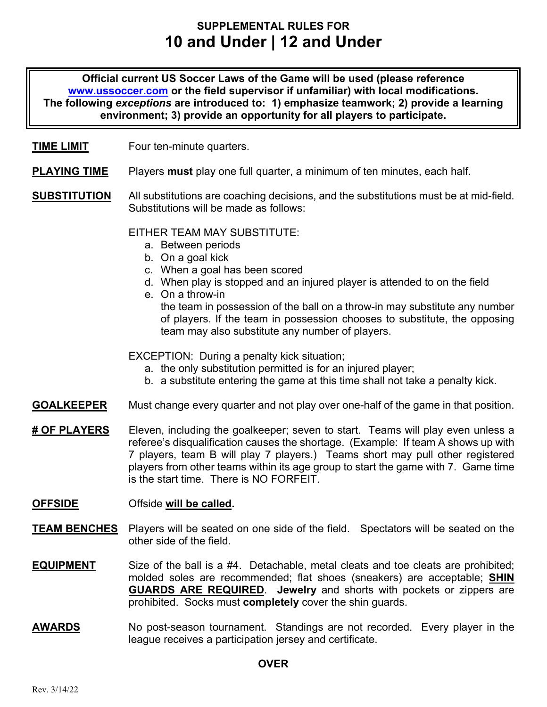# **SUPPLEMENTAL RULES FOR 10 and Under | 12 and Under**

**Official current US Soccer Laws of the Game will be used (please reference www.ussoccer.com or the field supervisor if unfamiliar) with local modifications. The following** *exceptions* **are introduced to: 1) emphasize teamwork; 2) provide a learning environment; 3) provide an opportunity for all players to participate.** 

#### **TIME LIMIT** Four ten-minute quarters.

- **PLAYING TIME** Players **must** play one full quarter, a minimum of ten minutes, each half.
- **SUBSTITUTION** All substitutions are coaching decisions, and the substitutions must be at mid-field. Substitutions will be made as follows:

#### EITHER TEAM MAY SUBSTITUTE:

- a. Between periods
- b. On a goal kick
- c. When a goal has been scored
- d. When play is stopped and an injured player is attended to on the field
- e. On a throw-in

the team in possession of the ball on a throw-in may substitute any number of players. If the team in possession chooses to substitute, the opposing team may also substitute any number of players.

EXCEPTION: During a penalty kick situation;

- a. the only substitution permitted is for an injured player;
- b. a substitute entering the game at this time shall not take a penalty kick.
- **GOALKEEPER** Must change every quarter and not play over one-half of the game in that position.
- **# OF PLAYERS** Eleven, including the goalkeeper; seven to start. Teams will play even unless a referee's disqualification causes the shortage. (Example: If team A shows up with 7 players, team B will play 7 players.) Teams short may pull other registered players from other teams within its age group to start the game with 7. Game time is the start time. There is NO FORFFIT.

#### **OFFSIDE** Offside **will be called.**

- **TEAM BENCHES** Players will be seated on one side of the field. Spectators will be seated on the other side of the field.
- **EQUIPMENT** Size of the ball is a #4. Detachable, metal cleats and toe cleats are prohibited; molded soles are recommended; flat shoes (sneakers) are acceptable; **SHIN GUARDS ARE REQUIRED**. **Jewelry** and shorts with pockets or zippers are prohibited. Socks must **completely** cover the shin guards.
- **AWARDS** No post-season tournament. Standings are not recorded. Every player in the league receives a participation jersey and certificate.